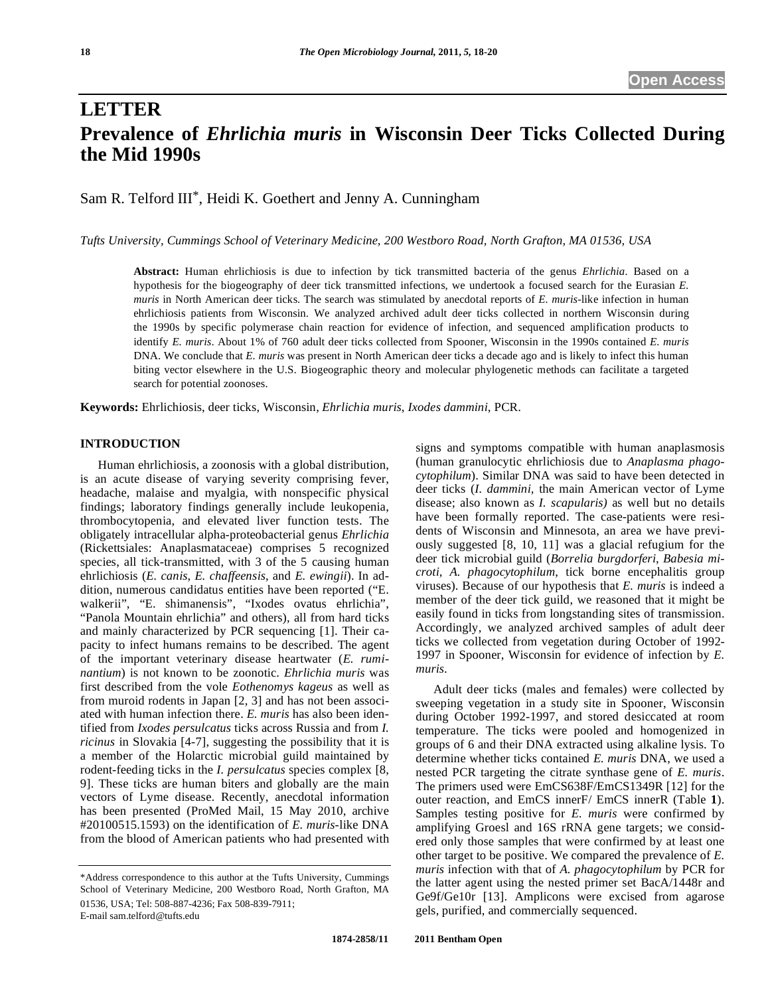## **LETTER Prevalence of** *Ehrlichia muris* **in Wisconsin Deer Ticks Collected During the Mid 1990s**

Sam R. Telford III\*, Heidi K. Goethert and Jenny A. Cunningham

*Tufts University, Cummings School of Veterinary Medicine, 200 Westboro Road, North Grafton, MA 01536, USA*

**Abstract:** Human ehrlichiosis is due to infection by tick transmitted bacteria of the genus *Ehrlichia.* Based on a hypothesis for the biogeography of deer tick transmitted infections, we undertook a focused search for the Eurasian *E. muris* in North American deer ticks. The search was stimulated by anecdotal reports of *E. muris*-like infection in human ehrlichiosis patients from Wisconsin. We analyzed archived adult deer ticks collected in northern Wisconsin during the 1990s by specific polymerase chain reaction for evidence of infection, and sequenced amplification products to identify *E. muris*. About 1% of 760 adult deer ticks collected from Spooner, Wisconsin in the 1990s contained *E. muris*  DNA. We conclude that *E. muris* was present in North American deer ticks a decade ago and is likely to infect this human biting vector elsewhere in the U.S. Biogeographic theory and molecular phylogenetic methods can facilitate a targeted search for potential zoonoses.

**Keywords:** Ehrlichiosis, deer ticks, Wisconsin, *Ehrlichia muris*, *Ixodes dammini*, PCR.

## **INTRODUCTION**

 Human ehrlichiosis, a zoonosis with a global distribution, is an acute disease of varying severity comprising fever, headache, malaise and myalgia, with nonspecific physical findings; laboratory findings generally include leukopenia, thrombocytopenia, and elevated liver function tests. The obligately intracellular alpha-proteobacterial genus *Ehrlichia* (Rickettsiales: Anaplasmataceae) comprises 5 recognized species, all tick-transmitted, with 3 of the 5 causing human ehrlichiosis (*E. canis*, *E. chaffeensis*, and *E. ewingii*). In addition, numerous candidatus entities have been reported ("E. walkerii", "E. shimanensis", "Ixodes ovatus ehrlichia", "Panola Mountain ehrlichia" and others), all from hard ticks and mainly characterized by PCR sequencing [1]. Their capacity to infect humans remains to be described. The agent of the important veterinary disease heartwater (*E. ruminantium*) is not known to be zoonotic. *Ehrlichia muris* was first described from the vole *Eothenomys kageus* as well as from muroid rodents in Japan [2, 3] and has not been associated with human infection there. *E. muris* has also been identified from *Ixodes persulcatus* ticks across Russia and from *I. ricinus* in Slovakia [4-7], suggesting the possibility that it is a member of the Holarctic microbial guild maintained by rodent-feeding ticks in the *I. persulcatus* species complex [8, 9]. These ticks are human biters and globally are the main vectors of Lyme disease. Recently, anecdotal information has been presented (ProMed Mail, 15 May 2010, archive #20100515.1593) on the identification of *E. muris*-like DNA from the blood of American patients who had presented with

signs and symptoms compatible with human anaplasmosis (human granulocytic ehrlichiosis due to *Anaplasma phagocytophilum*). Similar DNA was said to have been detected in deer ticks (*I. dammini,* the main American vector of Lyme disease; also known as *I. scapularis)* as well but no details have been formally reported. The case-patients were residents of Wisconsin and Minnesota, an area we have previously suggested [8, 10, 11] was a glacial refugium for the deer tick microbial guild (*Borrelia burgdorferi*, *Babesia microti*, *A. phagocytophilum*, tick borne encephalitis group viruses). Because of our hypothesis that *E. muris* is indeed a member of the deer tick guild, we reasoned that it might be easily found in ticks from longstanding sites of transmission. Accordingly, we analyzed archived samples of adult deer ticks we collected from vegetation during October of 1992- 1997 in Spooner, Wisconsin for evidence of infection by *E. muris*.

 Adult deer ticks (males and females) were collected by sweeping vegetation in a study site in Spooner, Wisconsin during October 1992-1997, and stored desiccated at room temperature. The ticks were pooled and homogenized in groups of 6 and their DNA extracted using alkaline lysis. To determine whether ticks contained *E. muris* DNA, we used a nested PCR targeting the citrate synthase gene of *E. muris*. The primers used were EmCS638F/EmCS1349R [12] for the outer reaction, and EmCS innerF/ EmCS innerR (Table **1**). Samples testing positive for *E. muris* were confirmed by amplifying Groesl and 16S rRNA gene targets; we considered only those samples that were confirmed by at least one other target to be positive. We compared the prevalence of *E. muris* infection with that of *A. phagocytophilum* by PCR for the latter agent using the nested primer set BacA/1448r and Ge9f/Ge10r [13]. Amplicons were excised from agarose gels, purified, and commercially sequenced.

<sup>\*</sup>Address correspondence to this author at the Tufts University, Cummings School of Veterinary Medicine, 200 Westboro Road, North Grafton, MA 01536, USA; Tel: 508-887-4236; Fax 508-839-7911; E-mail sam.telford@tufts.edu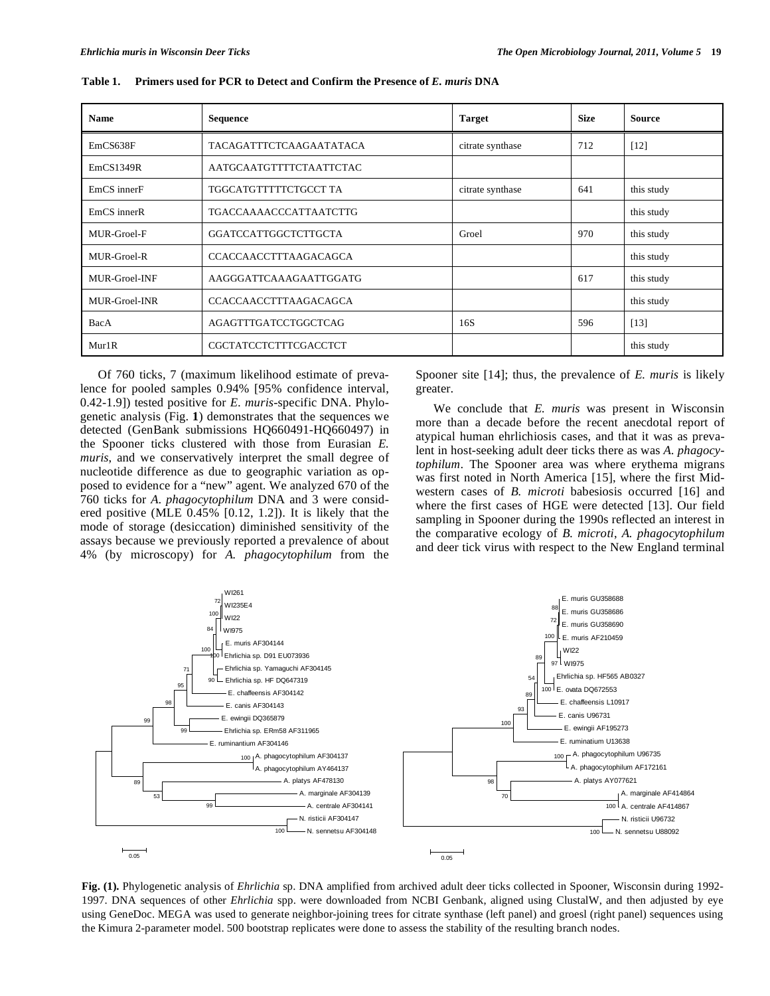| <b>Name</b>          | <b>Sequence</b>                | <b>Target</b>    | <b>Size</b> | <b>Source</b> |
|----------------------|--------------------------------|------------------|-------------|---------------|
| EmCS638F             | <b>TACAGATTTCTCAAGAATATACA</b> | citrate synthase | 712         | [12]          |
| EmCS1349R            | AATGCAATGTTTTCTAATTCTAC        |                  |             |               |
| EmCS innerF          | TGGCATGTTTTTCTGCCT TA          | citrate synthase | 641         | this study    |
| EmCS innerR          | <b>TGACCAAAACCCATTAATCTTG</b>  |                  |             | this study    |
| MUR-Groel-F          | GGATCCATTGGCTCTTGCTA           | Groel            | 970         | this study    |
| MUR-Groel-R          | <b>CCACCAACCTTTAAGACAGCA</b>   |                  |             | this study    |
| MUR-Groel-INF        | AAGGGATTCAAAGAATTGGATG         |                  | 617         | this study    |
| <b>MUR-Groel-INR</b> | <b>CCACCAACCTTTAAGACAGCA</b>   |                  |             | this study    |
| BacA                 | AGAGTTTGATCCTGGCTCAG           | 16S              | 596         | [13]          |
| Mur1R                | CGCTATCCTCTTTCGACCTCT          |                  |             | this study    |

**Table 1. Primers used for PCR to Detect and Confirm the Presence of** *E. muris* **DNA** 

 Of 760 ticks, 7 (maximum likelihood estimate of prevalence for pooled samples 0.94% [95% confidence interval, 0.42-1.9]) tested positive for *E. muris*-specific DNA. Phylogenetic analysis (Fig. **1**) demonstrates that the sequences we detected (GenBank submissions HQ660491-HQ660497) in the Spooner ticks clustered with those from Eurasian *E. muris*, and we conservatively interpret the small degree of nucleotide difference as due to geographic variation as opposed to evidence for a "new" agent. We analyzed 670 of the 760 ticks for *A*. *phagocytophilum* DNA and 3 were considered positive (MLE 0.45% [0.12, 1.2]). It is likely that the mode of storage (desiccation) diminished sensitivity of the assays because we previously reported a prevalence of about 4% (by microscopy) for *A. phagocytophilum* from the Spooner site [14]; thus, the prevalence of *E. muris* is likely greater.

 We conclude that *E. muris* was present in Wisconsin more than a decade before the recent anecdotal report of atypical human ehrlichiosis cases, and that it was as prevalent in host-seeking adult deer ticks there as was *A. phagocytophilum*. The Spooner area was where erythema migrans was first noted in North America [15], where the first Midwestern cases of *B. microti* babesiosis occurred [16] and where the first cases of HGE were detected [13]. Our field sampling in Spooner during the 1990s reflected an interest in the comparative ecology of *B. microti*, *A. phagocytophilum* and deer tick virus with respect to the New England terminal



**Fig. (1).** Phylogenetic analysis of *Ehrlichia* sp. DNA amplified from archived adult deer ticks collected in Spooner, Wisconsin during 1992- 1997. DNA sequences of other *Ehrlichia* spp. were downloaded from NCBI Genbank, aligned using ClustalW, and then adjusted by eye using GeneDoc. MEGA was used to generate neighbor-joining trees for citrate synthase (left panel) and groesl (right panel) sequences using the Kimura 2-parameter model. 500 bootstrap replicates were done to assess the stability of the resulting branch nodes.